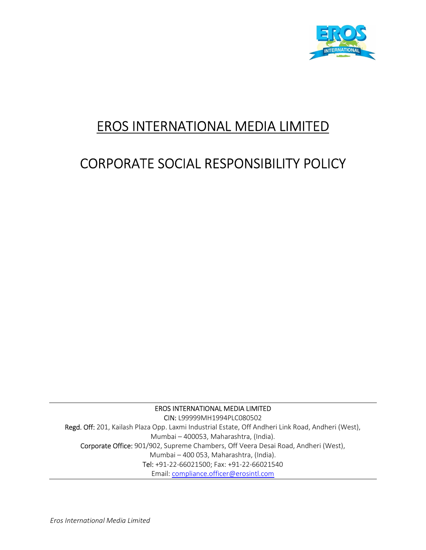

# EROS INTERNATIONAL MEDIA LIMITED

# CORPORATE SOCIAL RESPONSIBILITY POLICY

EROS INTERNATIONAL MEDIA LIMITED CIN: L99999MH1994PLC080502 Regd. Off: 201, Kailash Plaza Opp. Laxmi Industrial Estate, Off Andheri Link Road, Andheri (West), Mumbai – 400053, Maharashtra, (India). Corporate Office: 901/902, Supreme Chambers, Off Veera Desai Road, Andheri (West), Mumbai – 400 053, Maharashtra, (India). Tel: +91-22-66021500; Fax: +91-22-66021540 Email: compliance.officer@erosintl.com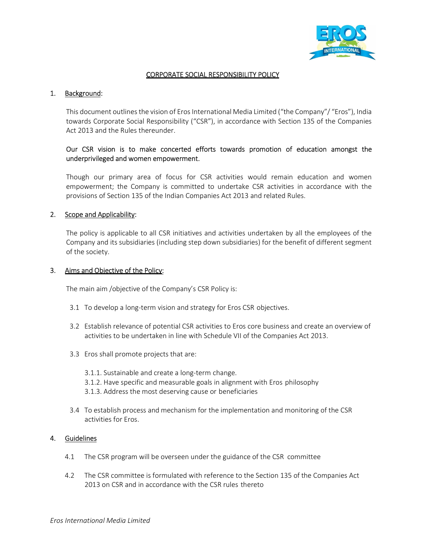

## CORPORATE SOCIAL RESPONSIBILITY POLICY

### 1. Background:

This document outlines the vision of Eros International Media Limited ("the Company"/ "Eros"), India towards Corporate Social Responsibility ("CSR"), in accordance with Section 135 of the Companies Act 2013 and the Rules thereunder.

## Our CSR vision is to make concerted efforts towards promotion of education amongst the underprivileged and women empowerment.

Though our primary area of focus for CSR activities would remain education and women empowerment; the Company is committed to undertake CSR activities in accordance with the provisions of Section 135 of the Indian Companies Act 2013 and related Rules.

### 2. Scope and Applicability:

The policy is applicable to all CSR initiatives and activities undertaken by all the employees of the Company and its subsidiaries (including step down subsidiaries) for the benefit of different segment of the society.

#### 3. Aims and Objective of the Policy:

The main aim /objective of the Company's CSR Policy is:

- 3.1 To develop a long-term vision and strategy for Eros CSR objectives.
- 3.2 Establish relevance of potential CSR activities to Eros core business and create an overview of activities to be undertaken in line with Schedule VII of the Companies Act 2013.
- 3.3 Eros shall promote projects that are:
	- 3.1.1. Sustainable and create a long-term change.
	- 3.1.2. Have specific and measurable goals in alignment with Eros philosophy
	- 3.1.3. Address the most deserving cause or beneficiaries
- 3.4 To establish process and mechanism for the implementation and monitoring of the CSR activities for Eros.

### 4. Guidelines

- 4.1 The CSR program will be overseen under the guidance of the CSR committee
- 4.2 The CSR committee is formulated with reference to the Section 135 of the Companies Act 2013 on CSR and in accordance with the CSR rules thereto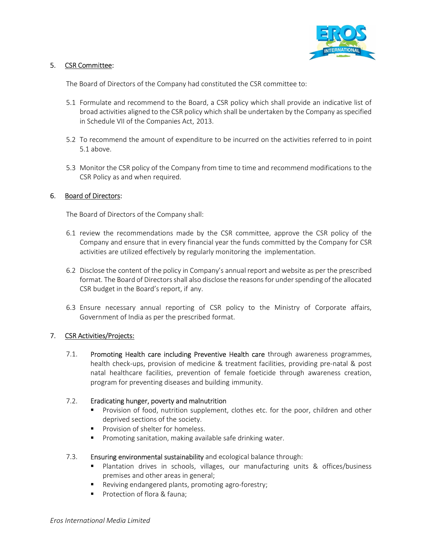

## 5. CSR Committee:

The Board of Directors of the Company had constituted the CSR committee to:

- 5.1 Formulate and recommend to the Board, a CSR policy which shall provide an indicative list of broad activities aligned to the CSR policy which shall be undertaken by the Company as specified in Schedule VII of the Companies Act, 2013.
- 5.2 To recommend the amount of expenditure to be incurred on the activities referred to in point 5.1 above.
- 5.3 Monitor the CSR policy of the Company from time to time and recommend modifications to the CSR Policy as and when required.

## 6. Board of Directors:

The Board of Directors of the Company shall:

- 6.1 review the recommendations made by the CSR committee, approve the CSR policy of the Company and ensure that in every financial year the funds committed by the Company for CSR activities are utilized effectively by regularly monitoring the implementation.
- 6.2 Disclose the content of the policy in Company's annual report and website as per the prescribed format. The Board of Directors shall also disclose the reasons for under spending of the allocated CSR budget in the Board's report, if any.
- 6.3 Ensure necessary annual reporting of CSR policy to the Ministry of Corporate affairs, Government of India as per the prescribed format.

## 7. CSR Activities/Projects:

7.1. Promoting Health care including Preventive Health care through awareness programmes, health check-ups, provision of medicine & treatment facilities, providing pre-natal & post natal healthcare facilities, prevention of female foeticide through awareness creation, program for preventing diseases and building immunity.

### 7.2. Eradicating hunger, poverty and malnutrition

- Provision of food, nutrition supplement, clothes etc. for the poor, children and other deprived sections of the society.
- **Provision of shelter for homeless.**
- **Promoting sanitation, making available safe drinking water.**

### 7.3. Ensuring environmental sustainability and ecological balance through:

- Plantation drives in schools, villages, our manufacturing units & offices/business premises and other areas in general;
- **Reviving endangered plants, promoting agro-forestry;**
- **Protection of flora & fauna:**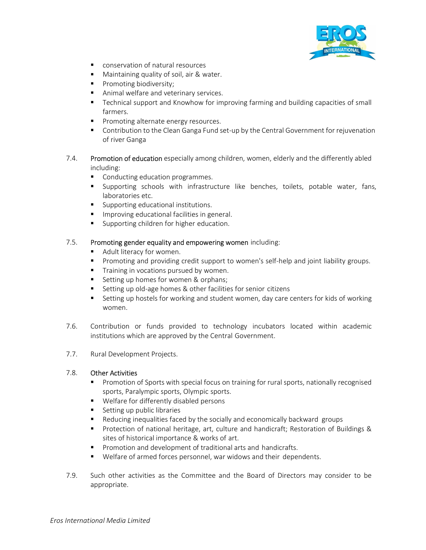

- conservation of natural resources
- **Maintaining quality of soil, air & water.**
- Promoting biodiversity;
- **Animal welfare and veterinary services.**
- Technical support and Knowhow for improving farming and building capacities of small farmers.
- **Promoting alternate energy resources.**
- **Contribution to the Clean Ganga Fund set-up by the Central Government for rejuvenation** of river Ganga
- 7.4. Promotion of education especially among children, women, elderly and the differently abled including:
	- Conducting education programmes.
	- Supporting schools with infrastructure like benches, toilets, potable water, fans, laboratories etc.
	- Supporting educational institutions.
	- **IMPROPIED EDUCATE INCOCOLE** In general.
	- **Supporting children for higher education.**

### 7.5. Promoting gender equality and empowering women including:

- Adult literacy for women.
- **Promoting and providing credit support to women's self-help and joint liability groups.**
- **Training in vocations pursued by women.**
- Setting up homes for women & orphans;
- Setting up old-age homes & other facilities for senior citizens
- **EXECT** Setting up hostels for working and student women, day care centers for kids of working women.
- 7.6. Contribution or funds provided to technology incubators located within academic institutions which are approved by the Central Government.
- 7.7. Rural Development Projects.

### 7.8. Other Activities

- **Promotion of Sports with special focus on training for rural sports, nationally recognised** sports, Paralympic sports, Olympic sports.
- **Welfare for differently disabled persons**
- Setting up public libraries
- Reducing inequalities faced by the socially and economically backward groups
- **Protection of national heritage, art, culture and handicraft; Restoration of Buildings &** sites of historical importance & works of art.
- Promotion and development of traditional arts and handicrafts.
- Welfare of armed forces personnel, war widows and their dependents.
- 7.9. Such other activities as the Committee and the Board of Directors may consider to be appropriate.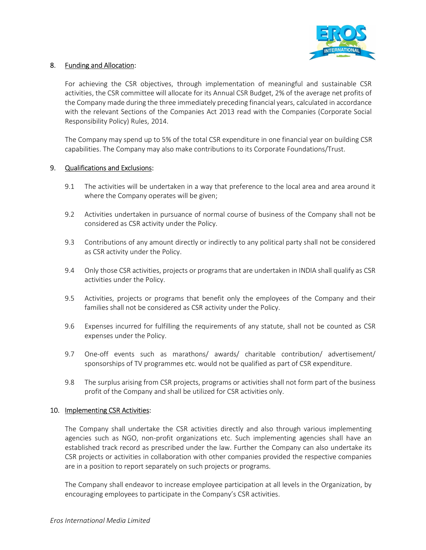

## 8. Funding and Allocation:

For achieving the CSR objectives, through implementation of meaningful and sustainable CSR activities, the CSR committee will allocate for its Annual CSR Budget, 2% of the average net profits of the Company made during the three immediately preceding financial years, calculated in accordance with the relevant Sections of the Companies Act 2013 read with the Companies (Corporate Social Responsibility Policy) Rules, 2014.

The Company may spend up to 5% of the total CSR expenditure in one financial year on building CSR capabilities. The Company may also make contributions to its Corporate Foundations/Trust.

### 9. Qualifications and Exclusions:

- 9.1 The activities will be undertaken in a way that preference to the local area and area around it where the Company operates will be given;
- 9.2 Activities undertaken in pursuance of normal course of business of the Company shall not be considered as CSR activity under the Policy.
- 9.3 Contributions of any amount directly or indirectly to any political party shall not be considered as CSR activity under the Policy.
- 9.4 Only those CSR activities, projects or programs that are undertaken in INDIA shall qualify as CSR activities under the Policy.
- 9.5 Activities, projects or programs that benefit only the employees of the Company and their families shall not be considered as CSR activity under the Policy.
- 9.6 Expenses incurred for fulfilling the requirements of any statute, shall not be counted as CSR expenses under the Policy.
- 9.7 One-off events such as marathons/ awards/ charitable contribution/ advertisement/ sponsorships of TV programmes etc. would not be qualified as part of CSR expenditure.
- 9.8 The surplus arising from CSR projects, programs or activities shall not form part of the business profit of the Company and shall be utilized for CSR activities only.

### 10. Implementing CSR Activities:

The Company shall undertake the CSR activities directly and also through various implementing agencies such as NGO, non-profit organizations etc. Such implementing agencies shall have an established track record as prescribed under the law. Further the Company can also undertake its CSR projects or activities in collaboration with other companies provided the respective companies are in a position to report separately on such projects or programs.

The Company shall endeavor to increase employee participation at all levels in the Organization, by encouraging employees to participate in the Company's CSR activities.